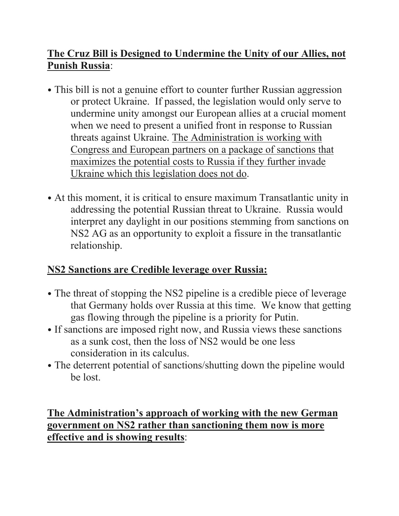## **The Cruz Bill is Designed to Undermine the Unity of our Allies, not Punish Russia**:

- This bill is not a genuine effort to counter further Russian aggression or protect Ukraine. If passed, the legislation would only serve to undermine unity amongst our European allies at a crucial moment when we need to present a unified front in response to Russian threats against Ukraine. The Administration is working with Congress and European partners on a package of sanctions that maximizes the potential costs to Russia if they further invade Ukraine which this legislation does not do.
- At this moment, it is critical to ensure maximum Transatlantic unity in addressing the potential Russian threat to Ukraine. Russia would interpret any daylight in our positions stemming from sanctions on NS2 AG as an opportunity to exploit a fissure in the transatlantic relationship.

# **NS2 Sanctions are Credible leverage over Russia:**

- The threat of stopping the NS2 pipeline is a credible piece of leverage that Germany holds over Russia at this time. We know that getting gas flowing through the pipeline is a priority for Putin.
- If sanctions are imposed right now, and Russia views these sanctions as a sunk cost, then the loss of NS2 would be one less consideration in its calculus.
- The deterrent potential of sanctions/shutting down the pipeline would be lost.

## **The Administration's approach of working with the new German government on NS2 rather than sanctioning them now is more effective and is showing results**: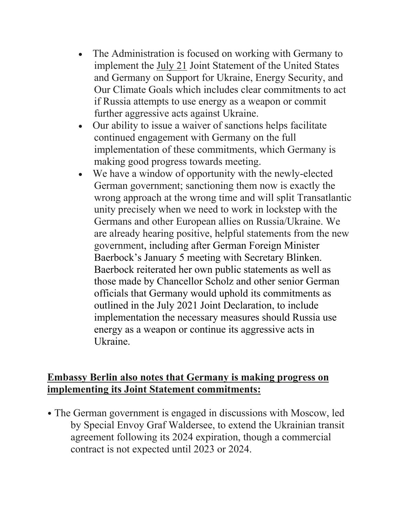- The Administration is focused on working with Germany to implement the July 21 Joint Statement of the United States and Germany on Support for Ukraine, Energy Security, and Our Climate Goals which includes clear commitments to act if Russia attempts to use energy as a weapon or commit further aggressive acts against Ukraine.
- Our ability to issue a waiver of sanctions helps facilitate continued engagement with Germany on the full implementation of these commitments, which Germany is making good progress towards meeting.
- We have a window of opportunity with the newly-elected German government; sanctioning them now is exactly the wrong approach at the wrong time and will split Transatlantic unity precisely when we need to work in lockstep with the Germans and other European allies on Russia/Ukraine. We are already hearing positive, helpful statements from the new government, including after German Foreign Minister Baerbock's January 5 meeting with Secretary Blinken. Baerbock reiterated her own public statements as well as those made by Chancellor Scholz and other senior German officials that Germany would uphold its commitments as outlined in the July 2021 Joint Declaration, to include implementation the necessary measures should Russia use energy as a weapon or continue its aggressive acts in Ukraine.

#### **Embassy Berlin also notes that Germany is making progress on implementing its Joint Statement commitments:**

• The German government is engaged in discussions with Moscow, led by Special Envoy Graf Waldersee, to extend the Ukrainian transit agreement following its 2024 expiration, though a commercial contract is not expected until 2023 or 2024.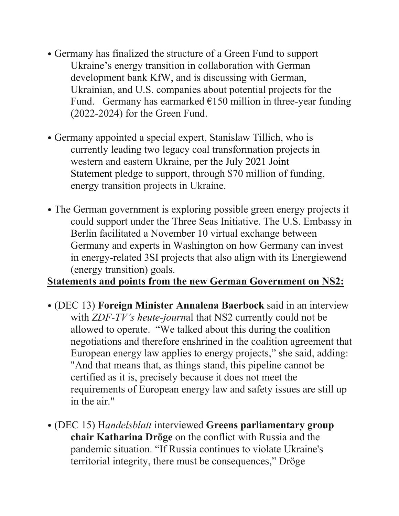- Germany has finalized the structure of a Green Fund to support Ukraine's energy transition in collaboration with German development bank KfW, and is discussing with German, Ukrainian, and U.S. companies about potential projects for the Fund. Germany has earmarked  $E150$  million in three-year funding (2022-2024) for the Green Fund.
- Germany appointed a special expert, Stanislaw Tillich, who is currently leading two legacy coal transformation projects in western and eastern Ukraine, per the July 2021 Joint Statement pledge to support, through \$70 million of funding, energy transition projects in Ukraine.
- The German government is exploring possible green energy projects it could support under the Three Seas Initiative. The U.S. Embassy in Berlin facilitated a November 10 virtual exchange between Germany and experts in Washington on how Germany can invest in energy-related 3SI projects that also align with its Energiewend (energy transition) goals.

#### **Statements and points from the new German Government on NS2:**

- (DEC 13) **Foreign Minister Annalena Baerbock** said in an interview with *ZDF-TV's heute-journ*al that NS2 currently could not be allowed to operate. "We talked about this during the coalition negotiations and therefore enshrined in the coalition agreement that European energy law applies to energy projects," she said, adding: "And that means that, as things stand, this pipeline cannot be certified as it is, precisely because it does not meet the requirements of European energy law and safety issues are still up in the air."
- (DEC 15) H*andelsblatt* interviewed **Greens parliamentary group chair Katharina Dröge** on the conflict with Russia and the pandemic situation. "If Russia continues to violate Ukraine's territorial integrity, there must be consequences," Dröge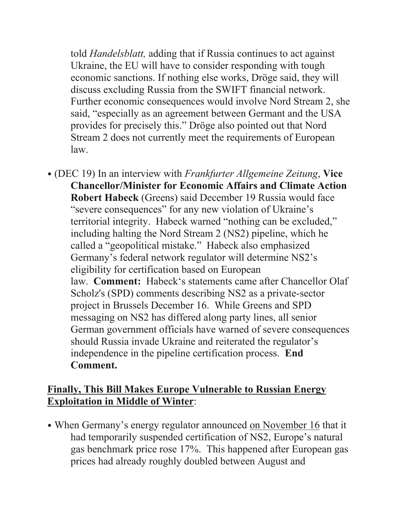told *Handelsblatt,* adding that if Russia continues to act against Ukraine, the EU will have to consider responding with tough economic sanctions. If nothing else works, Dröge said, they will discuss excluding Russia from the SWIFT financial network. Further economic consequences would involve Nord Stream 2, she said, "especially as an agreement between Germant and the USA provides for precisely this." Dröge also pointed out that Nord Stream 2 does not currently meet the requirements of European law.

• (DEC 19) In an interview with *Frankfurter Allgemeine Zeitung*, **Vice Chancellor/Minister for Economic Affairs and Climate Action Robert Habeck** (Greens) said December 19 Russia would face "severe consequences" for any new violation of Ukraine's territorial integrity. Habeck warned "nothing can be excluded," including halting the Nord Stream 2 (NS2) pipeline, which he called a "geopolitical mistake." Habeck also emphasized Germany's federal network regulator will determine NS2's eligibility for certification based on European law. **Comment:** Habeck's statements came after Chancellor Olaf Scholz's (SPD) comments describing NS2 as a private-sector project in Brussels December 16. While Greens and SPD messaging on NS2 has differed along party lines, all senior German government officials have warned of severe consequences should Russia invade Ukraine and reiterated the regulator's independence in the pipeline certification process. **End Comment.**

### **Finally, This Bill Makes Europe Vulnerable to Russian Energy Exploitation in Middle of Winter**:

• When Germany's energy regulator announced on November 16 that it had temporarily suspended certification of NS2, Europe's natural gas benchmark price rose 17%. This happened after European gas prices had already roughly doubled between August and